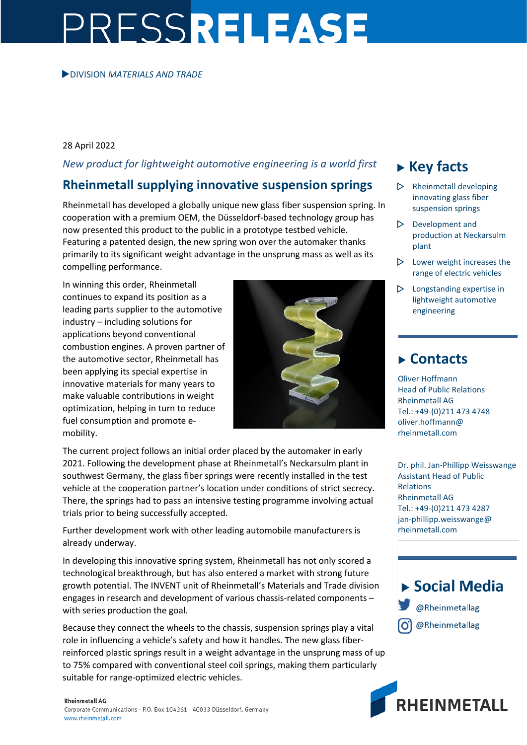# PRESSRELEASE

#### DIVISION *MATERIALS AND TRADE*

### 28 April 2022

## *New product for lightweight automotive engineering is a world first*

## **Rheinmetall supplying innovative suspension springs**

Rheinmetall has developed a globally unique new glass fiber suspension spring. In cooperation with a premium OEM, the Düsseldorf-based technology group has now presented this product to the public in a prototype testbed vehicle. Featuring a patented design, the new spring won over the automaker thanks primarily to its significant weight advantage in the unsprung mass as well as its compelling performance.

In winning this order, Rheinmetall continues to expand its position as a leading parts supplier to the automotive industry – including solutions for applications beyond conventional combustion engines. A proven partner of the automotive sector, Rheinmetall has been applying its special expertise in innovative materials for many years to make valuable contributions in weight optimization, helping in turn to reduce fuel consumption and promote emobility.



The current project follows an initial order placed by the automaker in early 2021. Following the development phase at Rheinmetall's Neckarsulm plant in southwest Germany, the glass fiber springs were recently installed in the test vehicle at the cooperation partner's location under conditions of strict secrecy. There, the springs had to pass an intensive testing programme involving actual trials prior to being successfully accepted.

Further development work with other leading automobile manufacturers is already underway.

In developing this innovative spring system, Rheinmetall has not only scored a technological breakthrough, but has also entered a market with strong future growth potential. The INVENT unit of Rheinmetall's Materials and Trade division engages in research and development of various chassis-related components – with series production the goal.

Because they connect the wheels to the chassis, suspension springs play a vital role in influencing a vehicle's safety and how it handles. The new glass fiberreinforced plastic springs result in a weight advantage in the unsprung mass of up to 75% compared with conventional steel coil springs, making them particularly suitable for range-optimized electric vehicles.

## **Key facts**

- Rheinmetall developing innovating glass fiber suspension springs
- $\triangleright$  Development and production at Neckarsulm plant
- $\triangleright$  Lower weight increases the range of electric vehicles
- Longstanding expertise in lightweight automotive engineering

## **Contacts**

Oliver Hoffmann Head of Public Relations Rheinmetall AG Tel.: +49-(0)211 473 4748 oliver.hoffmann@ rheinmetall.com

Dr. phil. Jan-Phillipp Weisswange Assistant Head of Public Relations Rheinmetall AG Tel.: +49-(0)211 473 4287 jan-phillipp.weisswange@ rheinmetall.com

# $\triangleright$  Social Media @Rheinmetallag @Rheinmetallag



#### **Rheinmetall AG**

Corporate Communications · P.O. Box 104261 · 40033 Düsseldorf, Germany www.rheinmetall.com